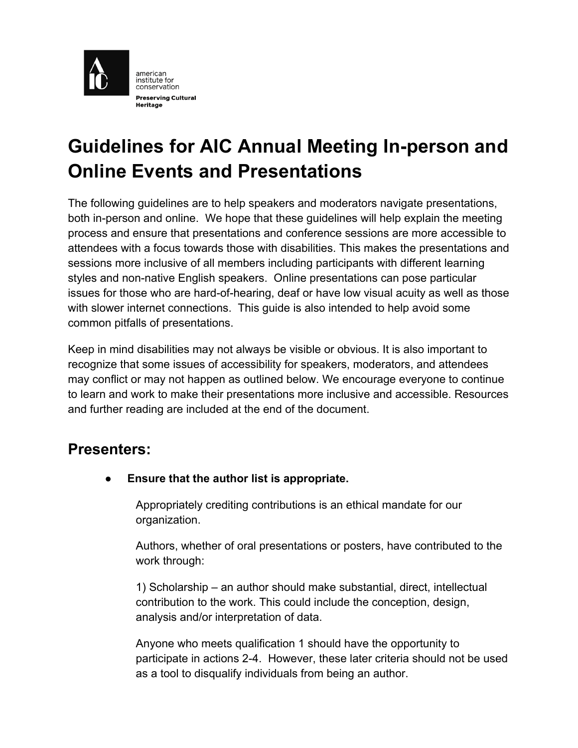

# **Guidelines for AIC Annual Meeting In-person and Online Events and Presentations**

The following guidelines are to help speakers and moderators navigate presentations, both in-person and online. We hope that these guidelines will help explain the meeting process and ensure that presentations and conference sessions are more accessible to attendees with a focus towards those with disabilities. This makes the presentations and sessions more inclusive of all members including participants with different learning styles and non-native English speakers. Online presentations can pose particular issues for those who are hard-of-hearing, deaf or have low visual acuity as well as those with slower internet connections. This guide is also intended to help avoid some common pitfalls of presentations.

Keep in mind disabilities may not always be visible or obvious. It is also important to recognize that some issues of accessibility for speakers, moderators, and attendees may conflict or may not happen as outlined below. We encourage everyone to continue to learn and work to make their presentations more inclusive and accessible. Resources and further reading are included at the end of the document.

# **Presenters:**

**Ensure that the author list is appropriate.** 

Appropriately crediting contributions is an ethical mandate for our organization.

Authors, whether of oral presentations or posters, have contributed to the work through:

1) Scholarship – an author should make substantial, direct, intellectual contribution to the work. This could include the conception, design, analysis and/or interpretation of data.

Anyone who meets qualification 1 should have the opportunity to participate in actions 2-4. However, these later criteria should not be used as a tool to disqualify individuals from being an author.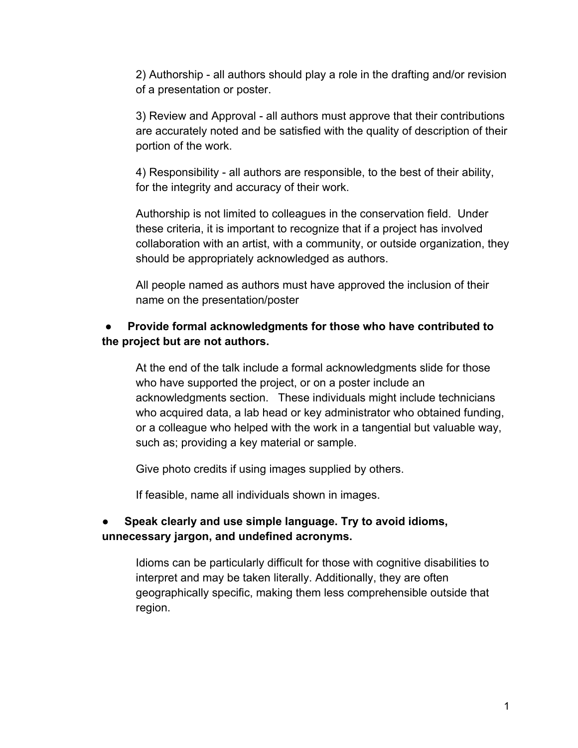2) Authorship - all authors should play a role in the drafting and/or revision of a presentation or poster.

3) Review and Approval - all authors must approve that their contributions are accurately noted and be satisfied with the quality of description of their portion of the work.

4) Responsibility - all authors are responsible, to the best of their ability, for the integrity and accuracy of their work.

Authorship is not limited to colleagues in the conservation field. Under these criteria, it is important to recognize that if a project has involved collaboration with an artist, with a community, or outside organization, they should be appropriately acknowledged as authors.

All people named as authors must have approved the inclusion of their name on the presentation/poster

# ● **Provide formal acknowledgments for those who have contributed to the project but are not authors.**

At the end of the talk include a formal acknowledgments slide for those who have supported the project, or on a poster include an acknowledgments section. These individuals might include technicians who acquired data, a lab head or key administrator who obtained funding, or a colleague who helped with the work in a tangential but valuable way, such as; providing a key material or sample.

Give photo credits if using images supplied by others.

If feasible, name all individuals shown in images.

# ● **Speak clearly and use simple language. Try to avoid idioms, unnecessary jargon, and undefined acronyms.**

Idioms can be particularly difficult for those with cognitive disabilities to interpret and may be taken literally. Additionally, they are often geographically specific, making them less comprehensible outside that region.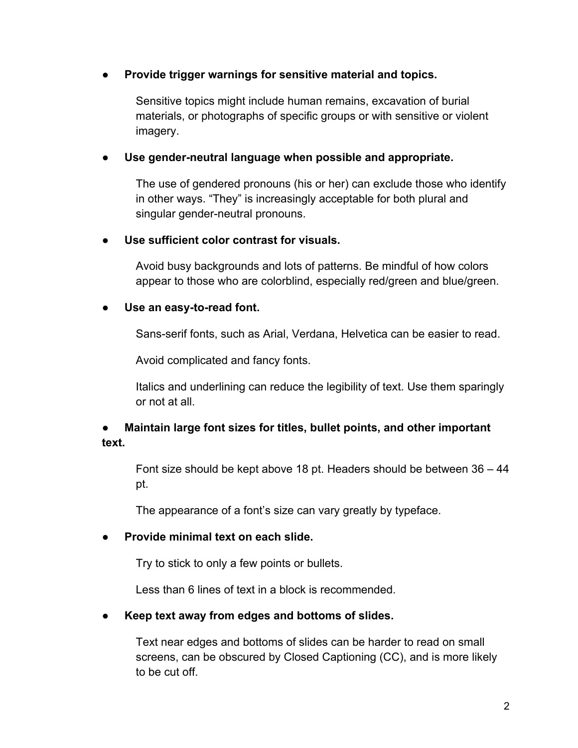#### **Provide trigger warnings for sensitive material and topics.**

Sensitive topics might include human remains, excavation of burial materials, or photographs of specific groups or with sensitive or violent imagery.

#### Use gender-neutral language when possible and appropriate.

The use of gendered pronouns (his or her) can exclude those who identify in other ways. "They" is increasingly acceptable for both plural and singular gender-neutral pronouns.

#### Use sufficient color contrast for visuals.

Avoid busy backgrounds and lots of patterns. Be mindful of how colors appear to those who are colorblind, especially red/green and blue/green.

#### Use an easy-to-read font.

Sans-serif fonts, such as Arial, Verdana, Helvetica can be easier to read.

Avoid complicated and fancy fonts.

Italics and underlining can reduce the legibility of text. Use them sparingly or not at all.

# ● **Maintain large font sizes for titles, bullet points, and other important text.**

Font size should be kept above 18 pt. Headers should be between 36 – 44 pt.

The appearance of a font's size can vary greatly by typeface.

### **Provide minimal text on each slide.**

Try to stick to only a few points or bullets.

Less than 6 lines of text in a block is recommended.

### ● **Keep text away from edges and bottoms of slides.**

Text near edges and bottoms of slides can be harder to read on small screens, can be obscured by Closed Captioning (CC), and is more likely to be cut off.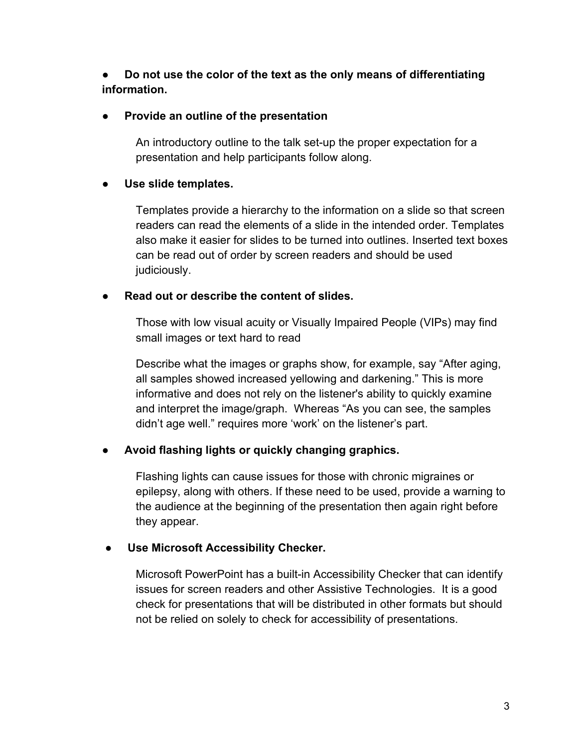● **Do not use the color of the text as the only means of differentiating information.**

## **Provide an outline of the presentation**

An introductory outline to the talk set-up the proper expectation for a presentation and help participants follow along.

# Use slide templates.

Templates provide a hierarchy to the information on a slide so that screen readers can read the elements of a slide in the intended order. Templates also make it easier for slides to be turned into outlines. Inserted text boxes can be read out of order by screen readers and should be used judiciously.

# **Read out or describe the content of slides.**

Those with low visual acuity or Visually Impaired People (VIPs) may find small images or text hard to read

Describe what the images or graphs show, for example, say "After aging, all samples showed increased yellowing and darkening." This is more informative and does not rely on the listener's ability to quickly examine and interpret the image/graph. Whereas "As you can see, the samples didn't age well." requires more 'work' on the listener's part.

# ● **Avoid flashing lights or quickly changing graphics.**

Flashing lights can cause issues for those with chronic migraines or epilepsy, along with others. If these need to be used, provide a warning to the audience at the beginning of the presentation then again right before they appear.

# **Use Microsoft Accessibility Checker.**

Microsoft PowerPoint has a built-in Accessibility Checker that can identify issues for screen readers and other Assistive Technologies. It is a good check for presentations that will be distributed in other formats but should not be relied on solely to check for accessibility of presentations.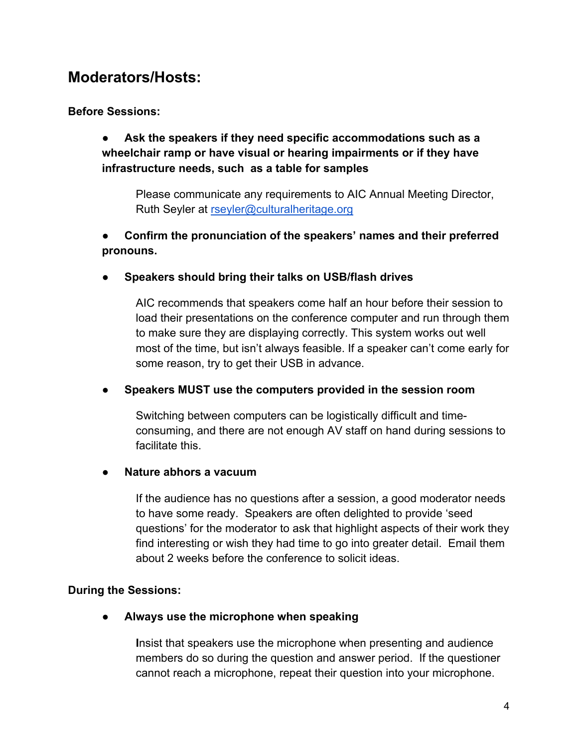# **Moderators/Hosts:**

# **Before Sessions:**

# Ask the speakers if they need specific accommodations such as a **wheelchair ramp or have visual or hearing impairments or if they have infrastructure needs, such as a table for samples**

Please communicate any requirements to AIC Annual Meeting Director, Ruth Seyler at rseyler@culturalheritage.org

# ● **Confirm the pronunciation of the speakers' names and their preferred pronouns.**

### ● **Speakers should bring their talks on USB/flash drives**

AIC recommends that speakers come half an hour before their session to load their presentations on the conference computer and run through them to make sure they are displaying correctly. This system works out well most of the time, but isn't always feasible. If a speaker can't come early for some reason, try to get their USB in advance.

### ● **Speakers MUST use the computers provided in the session room**

Switching between computers can be logistically difficult and timeconsuming, and there are not enough AV staff on hand during sessions to facilitate this.

### ● **Nature abhors a vacuum**

If the audience has no questions after a session, a good moderator needs to have some ready. Speakers are often delighted to provide 'seed questions' for the moderator to ask that highlight aspects of their work they find interesting or wish they had time to go into greater detail. Email them about 2 weeks before the conference to solicit ideas.

# **During the Sessions:**

● **Always use the microphone when speaking**

**I**nsist that speakers use the microphone when presenting and audience members do so during the question and answer period. If the questioner cannot reach a microphone, repeat their question into your microphone.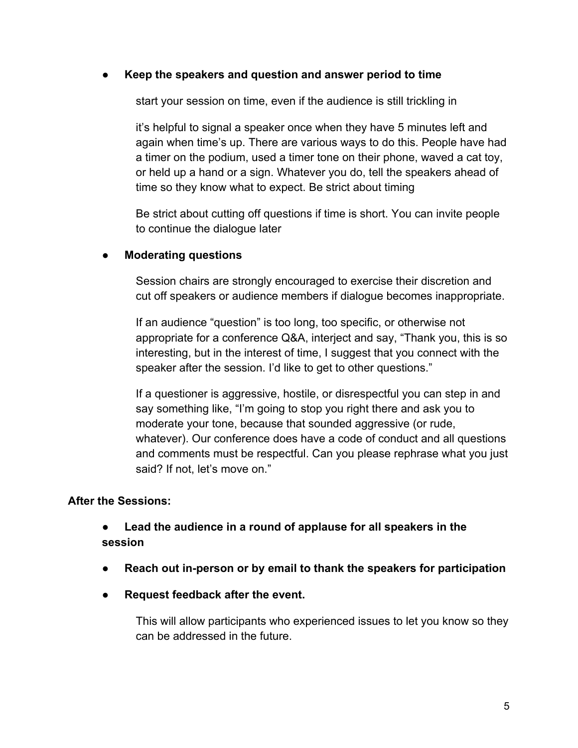#### **Keep the speakers and question and answer period to time**

start your session on time, even if the audience is still trickling in

it's helpful to signal a speaker once when they have 5 minutes left and again when time's up. There are various ways to do this. People have had a timer on the podium, used a timer tone on their phone, waved a cat toy, or held up a hand or a sign. Whatever you do, tell the speakers ahead of time so they know what to expect. Be strict about timing

Be strict about cutting off questions if time is short. You can invite people to continue the dialogue later

#### ● **Moderating questions**

Session chairs are strongly encouraged to exercise their discretion and cut off speakers or audience members if dialogue becomes inappropriate.

If an audience "question" is too long, too specific, or otherwise not appropriate for a conference Q&A, interject and say, "Thank you, this is so interesting, but in the interest of time, I suggest that you connect with the speaker after the session. I'd like to get to other questions."

If a questioner is aggressive, hostile, or disrespectful you can step in and say something like, "I'm going to stop you right there and ask you to moderate your tone, because that sounded aggressive (or rude, whatever). Our conference does have a code of conduct and all questions and comments must be respectful. Can you please rephrase what you just said? If not, let's move on."

### **After the Sessions:**

# ● **Lead the audience in a round of applause for all speakers in the session**

- **Reach out in-person or by email to thank the speakers for participation**
- **Request feedback after the event.**

This will allow participants who experienced issues to let you know so they can be addressed in the future.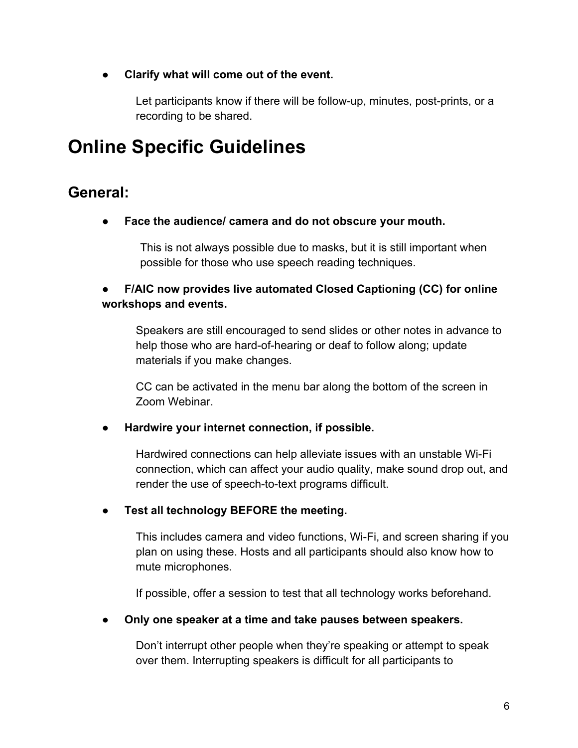## **Clarify what will come out of the event.**

Let participants know if there will be follow-up, minutes, post-prints, or a recording to be shared.

# **Online Specific Guidelines**

# **General:**

Face the audience/ camera and do not obscure your mouth.

This is not always possible due to masks, but it is still important when possible for those who use speech reading techniques.

# **F/AIC now provides live automated Closed Captioning (CC) for online workshops and events.**

Speakers are still encouraged to send slides or other notes in advance to help those who are hard-of-hearing or deaf to follow along; update materials if you make changes.

CC can be activated in the menu bar along the bottom of the screen in Zoom Webinar.

● **Hardwire your internet connection, if possible.**

Hardwired connections can help alleviate issues with an unstable Wi-Fi connection, which can affect your audio quality, make sound drop out, and render the use of speech-to-text programs difficult.

● **Test all technology BEFORE the meeting.**

This includes camera and video functions, Wi-Fi, and screen sharing if you plan on using these. Hosts and all participants should also know how to mute microphones.

If possible, offer a session to test that all technology works beforehand.

● **Only one speaker at a time and take pauses between speakers.**

Don't interrupt other people when they're speaking or attempt to speak over them. Interrupting speakers is difficult for all participants to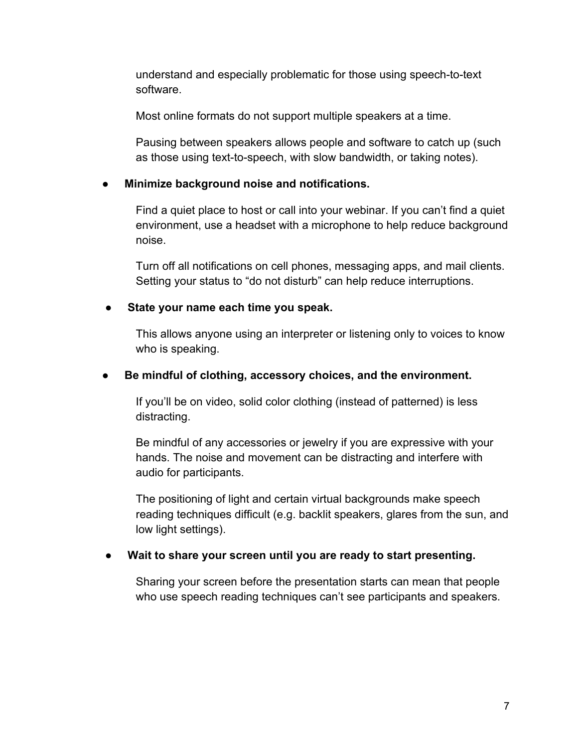understand and especially problematic for those using speech-to-text software.

Most online formats do not support multiple speakers at a time.

Pausing between speakers allows people and software to catch up (such as those using text-to-speech, with slow bandwidth, or taking notes).

## **Minimize background noise and notifications.**

Find a quiet place to host or call into your webinar. If you can't find a quiet environment, use a headset with a microphone to help reduce background noise.

Turn off all notifications on cell phones, messaging apps, and mail clients. Setting your status to "do not disturb" can help reduce interruptions.

# State your name each time you speak.

This allows anyone using an interpreter or listening only to voices to know who is speaking.

### Be mindful of clothing, accessory choices, and the environment.

If you'll be on video, solid color clothing (instead of patterned) is less distracting.

Be mindful of any accessories or jewelry if you are expressive with your hands. The noise and movement can be distracting and interfere with audio for participants.

The positioning of light and certain virtual backgrounds make speech reading techniques difficult (e.g. backlit speakers, glares from the sun, and low light settings).

# Wait to share your screen until you are ready to start presenting.

Sharing your screen before the presentation starts can mean that people who use speech reading techniques can't see participants and speakers.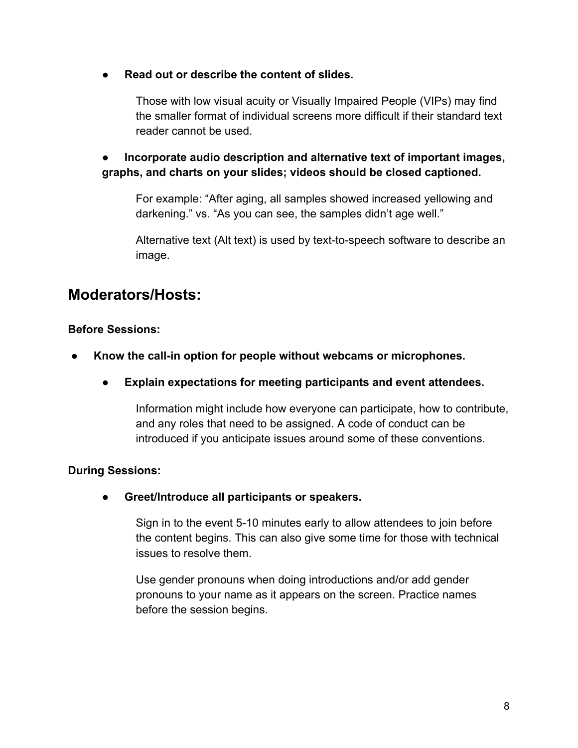**Read out or describe the content of slides.** 

Those with low visual acuity or Visually Impaired People (VIPs) may find the smaller format of individual screens more difficult if their standard text reader cannot be used.

● **Incorporate audio description and alternative text of important images, graphs, and charts on your slides; videos should be closed captioned.**

For example: "After aging, all samples showed increased yellowing and darkening." vs. "As you can see, the samples didn't age well."

Alternative text (Alt text) is used by text-to-speech software to describe an image.

# **Moderators/Hosts:**

### **Before Sessions:**

- **Know the call-in option for people without webcams or microphones.**
	- **Explain expectations for meeting participants and event attendees.**

Information might include how everyone can participate, how to contribute, and any roles that need to be assigned. A code of conduct can be introduced if you anticipate issues around some of these conventions.

### **During Sessions:**

● **Greet/Introduce all participants or speakers.**

Sign in to the event 5-10 minutes early to allow attendees to join before the content begins. This can also give some time for those with technical issues to resolve them.

Use gender pronouns when doing introductions and/or add gender pronouns to your name as it appears on the screen. Practice names before the session begins.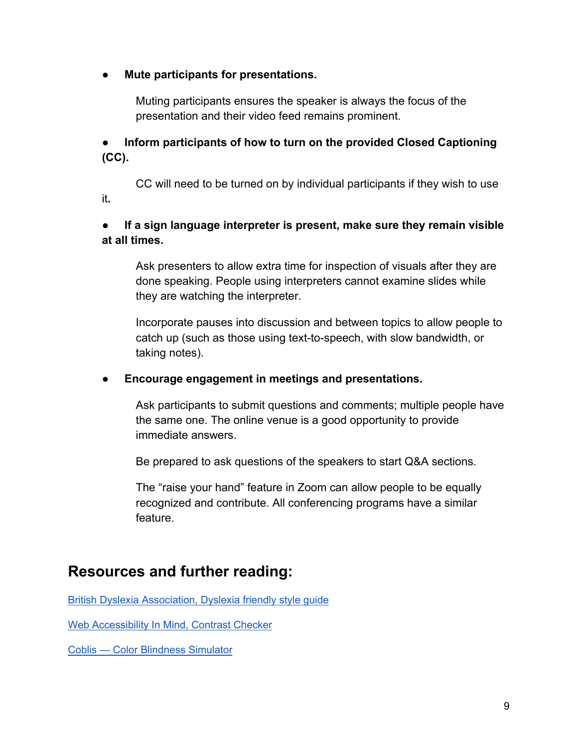**Mute participants for presentations.** 

Muting participants ensures the speaker is always the focus of the presentation and their video feed remains prominent.

# ● **Inform participants of how to turn on the provided Closed Captioning (CC).**

CC will need to be turned on by individual participants if they wish to use it**.**

## ● **If a sign language interpreter is present, make sure they remain visible at all times.**

Ask presenters to allow extra time for inspection of visuals after they are done speaking. People using interpreters cannot examine slides while they are watching the interpreter.

Incorporate pauses into discussion and between topics to allow people to catch up (such as those using text-to-speech, with slow bandwidth, or taking notes).

● **Encourage engagement in meetings and presentations.**

Ask participants to submit questions and comments; multiple people have the same one. The online venue is a good opportunity to provide immediate answers.

Be prepared to ask questions of the speakers to start Q&A sections.

The "raise your hand" feature in Zoom can allow people to be equally recognized and contribute. All conferencing programs have a similar feature.

# **Resources and further reading:**

British Dyslexia Association, Dyslexia friendly style guide

Web Accessibility In Mind, Contrast Checker

Coblis — Color Blindness Simulator